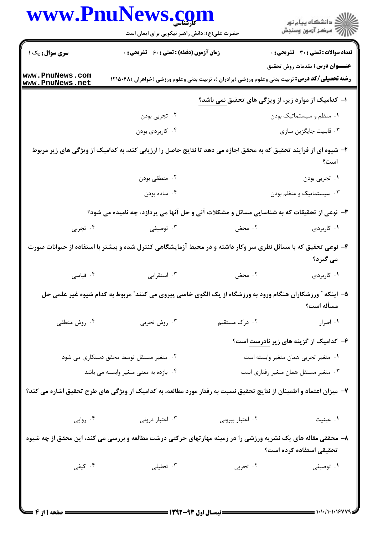|                                         | حضرت علی(ع): دانش راهبر نیکویی برای ایمان است                                                                      |                                                             | ِ<br>∭ دانشڪاه پيام نور<br>∭ مرڪز آزمون وسنڊش |  |
|-----------------------------------------|--------------------------------------------------------------------------------------------------------------------|-------------------------------------------------------------|-----------------------------------------------|--|
| سری سوال: یک ۱                          | <b>زمان آزمون (دقیقه) : تستی : 60 ٪ تشریحی : 0</b>                                                                 |                                                             | <b>تعداد سوالات : تستی : 30 ٪ تشریحی : 0</b>  |  |
| www.PnuNews.com<br>www.PnuNews.net      | <b>رشته تحصیلی/کد درس:</b> تربیت بدنی وعلوم ورزشی (برادران )، تربیت بدنی وعلوم ورزشی (خواهران )۴۸۵۰۴۸ (            |                                                             | <b>عنـــوان درس:</b> مقدمات روش تحقيق         |  |
|                                         |                                                                                                                    | ا– کدامیک از موارد زیر، از ویژگی های تحقیق <u>نمی</u> باشد؟ |                                               |  |
|                                         | ۰۲ تجربی بودن                                                                                                      |                                                             | ۰۱ منظم و سیستماتیک بودن                      |  |
|                                         | ۰۴ کاربردی بودن                                                                                                    |                                                             | ۰۳ قابلیت جایگزین سازی                        |  |
|                                         | ۲- شیوه ای از فرایند تحقیق که به محقق اجازه می دهد تا نتایج حاصل را ارزیابی کند، به کدامیک از ویژگی های زیر مربوط  |                                                             | است؟                                          |  |
|                                         | ۰۲ منطقی بودن                                                                                                      |                                                             | ۰۱ تجربی بودن                                 |  |
|                                         | ۰۴ ساده بودن                                                                                                       |                                                             | ۰۳ سیستماتیک و منظم بودن                      |  |
|                                         | ۳- نوعی از تحقیقات که به شناسایی مسائل و مشکلات آنی و حل آنها می پردازد، چه نامیده می شود؟                         |                                                             |                                               |  |
| ۰۴ تجربی                                | ۰۳ توصیفی                                                                                                          | ۰۲ محض                                                      | ۰۱ کاربردی                                    |  |
|                                         | ۴- نوعی تحقیق که با مسائل نظری سر وکار داشته و در محیط آزمایشگاهی کنترل شده و بیشتر با استفاده از حیوانات صورت     |                                                             | می گیرد؟                                      |  |
| ۰۴ قیاسی                                | ۰۳ استقرایی                                                                                                        | ۰۲ محض                                                      | ۰۱ کاربردی                                    |  |
|                                         | ۵– اینکه ″ ورزشکاران هنگام ورود به ورزشگاه از یک الگوی خاصی پیروی می کنند″ مربوط به کدام شیوه غیر علمی حل          |                                                             | مسأله است؟                                    |  |
| ۰۴ روش منطقی                            | ۰۳ روش تجربی                                                                                                       | ۰۲ درک مستقیم                                               | ٠١. اصرار                                     |  |
|                                         |                                                                                                                    |                                                             | ۶– کدامیک از گزینه های زیر <u>نادرست</u> است؟ |  |
| ۰۲ متغیر مستقل توسط محقق دستکاری می شود |                                                                                                                    | ٠١ متغير تجربي همان متغير وابسته است                        |                                               |  |
| ۰۴ بازده به معنى متغير وابسته مى باشد   |                                                                                                                    | ۰۳ متغیر مستقل همان متغیر رفتاری است                        |                                               |  |
|                                         | ۷– میزان اعتماد و اطمینان از نتایج تحقیق نسبت به رفتار مورد مطالعه، به کدامیک از ویژگی های طرح تحقیق اشاره می کند؟ |                                                             |                                               |  |
| ۰۴ روایی                                | ۰۳ اعتبار درونی                                                                                                    | ٠٢ اعتبار بيرونى                                            | ٠١ عينيت                                      |  |
|                                         | ۸– محققی مقاله های یک نشریه ورزشی را در زمینه مهارتهای حرکتی درشت مطالعه و بررسی می کند، این محقق از چه شیوه       |                                                             | تحقيقي استفاده كرده است؟                      |  |
|                                         |                                                                                                                    |                                                             |                                               |  |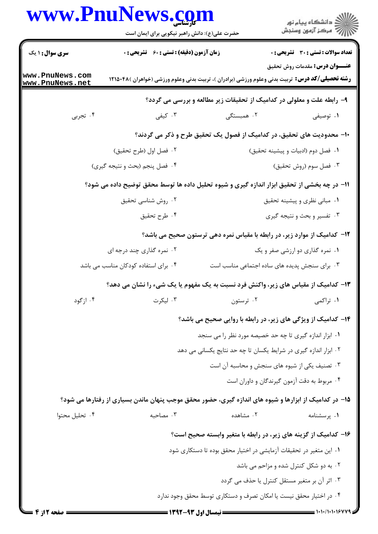|                                    | www.PnuNews.com<br>حضرت علی(ع): دانش راهبر نیکویی برای ایمان است                                        |                                                                          | ڪ دانشڪاه پيام نور<br>پ <sup>س</sup> مرڪز آزمون وسنڊش |  |
|------------------------------------|---------------------------------------------------------------------------------------------------------|--------------------------------------------------------------------------|-------------------------------------------------------|--|
| <b>سری سوال : ۱ یک</b>             | <b>زمان آزمون (دقیقه) : تستی : 60 ٪ تشریحی : 0</b>                                                      |                                                                          | <b>تعداد سوالات : تستی : 30 ٪ تشریحی : 0</b>          |  |
| www.PnuNews.com<br>www.PnuNews.net | <b>رشته تحصیلی/کد درس:</b> تربیت بدنی وعلوم ورزشی (برادران )، تربیت بدنی وعلوم ورزشی (خواهران )۴۸۵۰۴۸ ( |                                                                          | <b>عنـــوان درس:</b> مقدمات روش تحقیق                 |  |
|                                    |                                                                                                         | ۹- رابطه علت و معلولی در کدامیک از تحقیقات زیر مطالعه و بررسی می گردد؟   |                                                       |  |
| ۰۴ تجربی                           | ۰۳ کیفی                                                                                                 | ۰۲ همبستگی                                                               | ۰۱ توصیفی                                             |  |
|                                    |                                                                                                         | ∙ا− محدودیت های تحقیق، در کدامیک از فصول یک تحقیق طرح و ذکر می گردند؟    |                                                       |  |
|                                    | ۰۲ فصل اول (طرح تحقيق)                                                                                  |                                                                          | ۰۱ فصل دوم (ادبیات و پیشینه تحقیق)                    |  |
|                                    | ۰۴ فصل پنجم (بحث و نتيجه گيري)                                                                          |                                                                          | ۰۳ فصل سوم (روش تحقیق)                                |  |
|                                    | 11– در چه بخشی از تحقیق ابزار اندازه گیری و شیوه تحلیل داده ها توسط محقق توضیح داده می شود؟             |                                                                          |                                                       |  |
|                                    | ۰۲ روش شناسی تحقیق                                                                                      |                                                                          | ۰۱ مبانی نظری و پیشینه تحقیق                          |  |
|                                    | ۰۴ طرح تحقيق                                                                                            |                                                                          | ۰۳ تفسیر و بحث و نتیجه گیری                           |  |
|                                    |                                                                                                         | ۱۲- کدامیک از موارد زیر، در رابطه با مقیاس نمره دهی ترستون صحیح می باشد؟ |                                                       |  |
|                                    | ۲. نمره گذاری چند درجه ای                                                                               |                                                                          | ۰۱ نمره گذاری دو ارزشی صفر و یک                       |  |
|                                    | ۰۴ برای استفاده کودکان مناسب می باشد                                                                    | ۰۳ برای سنجش پدیده های ساده اجتماعی مناسب است                            |                                                       |  |
|                                    | ۱۳- کدامیک از مقیاس های زیر، واکنش فرد نسبت به یک مفهوم یا یک شیء را نشان می دهد؟                       |                                                                          |                                                       |  |
| ۰۴ ازگود                           | ۰۳ لیکرت                                                                                                | ۰۲ ترستون                                                                | ۰۱ تراکمی                                             |  |
|                                    |                                                                                                         | ۱۴- کدامیک از ویژگی های زیر، در رابطه با روایی صحیح می باشد؟             |                                                       |  |
|                                    |                                                                                                         | ۰۱ ابزار اندازه گیری تا چه حد خصیصه مورد نظر را می سنجد                  |                                                       |  |
|                                    |                                                                                                         | ۰۲ ابزار اندازه گیری در شرایط یکسان تا چه حد نتایج یکسانی می دهد         |                                                       |  |
|                                    |                                                                                                         | ۰۳ تصنیف یکی از شیوه های سنجش و محاسبه آن است                            |                                                       |  |
|                                    |                                                                                                         | ۰۴ مربوط به دقت آزمون گیرندگان و داوران است                              |                                                       |  |
|                                    | ۱۵– در کدامیک از ابزارها و شیوه های اندازه گیری، حضور محقق موجب پنهان ماندن بسیاری از رفتارها می شود؟   |                                                                          |                                                       |  |
| ۰۴ تحليل محتوا                     | ۰۳ مصاحبه                                                                                               | ۰۲ مشاهده                                                                | ۰۱ پرسشنامه                                           |  |
|                                    |                                                                                                         | ۱۶- کدامیک از گزینه های زیر، در رابطه با متغیر وابسته صحیح است؟          |                                                       |  |
|                                    | ۰۱ این متغیر در تحقیقات آزمایشی در اختیار محقق بوده تا دستکاری شود                                      |                                                                          |                                                       |  |
|                                    |                                                                                                         |                                                                          | ٢. به دو شكل كنترل شده و مزاحم مى باشد                |  |
|                                    |                                                                                                         | ۰۳ اثر آن بر متغیر مستقل کنترل یا حذف می گردد                            |                                                       |  |
|                                    |                                                                                                         | ۰۴ در اختیار محقق نیست یا امکان تصرف و دستکاری توسط محقق وجود ندارد      |                                                       |  |
|                                    |                                                                                                         |                                                                          |                                                       |  |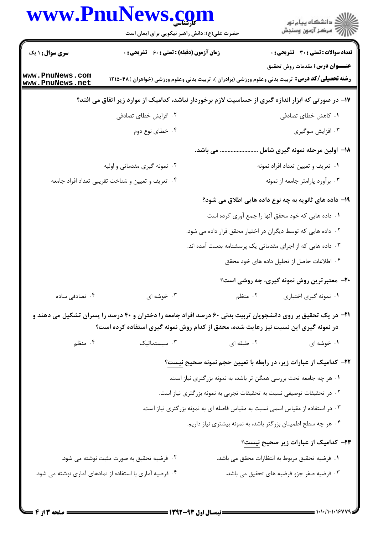|                                    | www.PnuNews.com<br>حضرت علی(ع): دانش راهبر نیکویی برای ایمان است                                                     |                                                                       | ر<br>دانشڪاه پيام نور)<br>ا                           |  |  |
|------------------------------------|----------------------------------------------------------------------------------------------------------------------|-----------------------------------------------------------------------|-------------------------------------------------------|--|--|
| <b>سری سوال :</b> ۱ یک             | زمان آزمون (دقیقه) : تستی : ۶۰٪ تشریحی : ۰                                                                           |                                                                       | <b>تعداد سوالات : تستی : 30 ٪ تشریحی : 0</b>          |  |  |
|                                    |                                                                                                                      |                                                                       | <b>عنـــوان درس:</b> مقدمات روش تحقیق                 |  |  |
| www.PnuNews.com<br>www.PnuNews.net | <b>رشته تحصیلی/کد درس:</b> تربیت بدنی وعلوم ورزشی (برادران )، تربیت بدنی وعلوم ورزشی (خواهران )۴۸۵۰۴۸ (              |                                                                       |                                                       |  |  |
|                                    | ۱۷– در صورتی که ابزار اندازه گیری از حساسیت لازم برخوردار نباشد، کدامیک از موارد زیر اتفاق می افتد؟                  |                                                                       |                                                       |  |  |
|                                    | ۰۲ افزایش خطای تصادفی                                                                                                |                                                                       | ۰۱ کاهش خطای تصادفی                                   |  |  |
|                                    | ۰۴ خطای نوع دوم                                                                                                      |                                                                       | ۰۳ افزایش سوگیری                                      |  |  |
|                                    | . می باشد.                                                                                                           |                                                                       | 1۸– اولین مرحله نمونه گیری شامل                       |  |  |
|                                    | ۲. نمونه گیری مقدماتی و اولیه                                                                                        |                                                                       | ۰۱ تعریف و تعیین تعداد افراد نمونه                    |  |  |
|                                    | ۰۴ تعریف و تعیین و شناخت تقریبی تعداد افراد جامعه                                                                    |                                                                       | ۰۳ برآورد پارامتر جامعه از نمونه                      |  |  |
|                                    |                                                                                                                      |                                                                       | ۱۹- داده های ثانویه به چه نوع داده هایی اطلاق می شود؟ |  |  |
|                                    |                                                                                                                      | ۱. داده هایی که خود محقق آنها را جمع آوری کرده است                    |                                                       |  |  |
|                                    |                                                                                                                      | ۰۲ داده هایی که توسط دیگران در اختیار محقق قرار داده می شود.          |                                                       |  |  |
|                                    |                                                                                                                      | ۰۳ داده هایی که از اجرای مقدماتی یک پرسشنامه بدست آمده اند.           |                                                       |  |  |
|                                    |                                                                                                                      |                                                                       | ۰۴ اطلاعات حاصل از تحلیل داده های خود محقق            |  |  |
|                                    |                                                                                                                      |                                                                       | <b>۲۰</b> - معتبرترین روش نمونه گیری، چه روشی است؟    |  |  |
| ۰۴ تصادفی ساده                     | ۰۳ خوشه ای                                                                                                           | ۰۲ منظم                                                               | ٠١ نمونه گيري اختياري                                 |  |  |
|                                    | <b>۲۱</b> - در یک تحقیق بر روی دانشجویان تربیت بدنی ۶۰ درصد افراد جامعه را دختران و ۴۰ درصد را پسران تشکیل می دهند و |                                                                       |                                                       |  |  |
|                                    | در نمونه گیری این نسبت نیز رعایت شده، محقق از کدام روش نمونه گیری استفاده کرده است؟                                  |                                                                       |                                                       |  |  |
| ۰۴ منظم                            | $\cdot$ ۳ سیستماتیک                                                                                                  | ۰۲ طبقه ای                                                            | ۰۱ خوشه ای                                            |  |  |
|                                    | <b>۲۲</b> – کدامیک از عبارات زیر، در رابطه با تعیین حجم نمونه صحیح <u>نیست</u> ؟                                     |                                                                       |                                                       |  |  |
|                                    |                                                                                                                      | ۱. هر چه جامعه تحت بررسی همگن تر باشد، به نمونه بزرگتری نیاز است.     |                                                       |  |  |
|                                    |                                                                                                                      | ۰۲ در تحقیقات توصیفی نسبت به تحقیقات تجربی به نمونه بزرگتری نیاز است. |                                                       |  |  |
|                                    | ۰۳ در استفاده از مقیاس اسمی نسبت به مقیاس فاصله ای به نمونه بزرگتری نیاز است.                                        |                                                                       |                                                       |  |  |
|                                    |                                                                                                                      | ۰۴ هر چه سطح اطمینان بزرگتر باشد، به نمونه بیشتری نیاز داریم.         |                                                       |  |  |
|                                    |                                                                                                                      |                                                                       | <b>۳۳</b> – کدامیک از عبارات زیر صحیح ن <u>یست</u> ؟  |  |  |
|                                    | ۰۲ فرضیه تحقیق به صورت مثبت نوشته می شود.                                                                            |                                                                       | ۰۱ فرضیه تحقیق مربوط به انتظارات محقق می باشد.        |  |  |
|                                    | ۰۴ فرضیه آماری با استفاده از نمادهای آماری نوشته می شود.                                                             |                                                                       | ۰۳ فرضیه صفر جزو فرضیه های تحقیق می باشد.             |  |  |